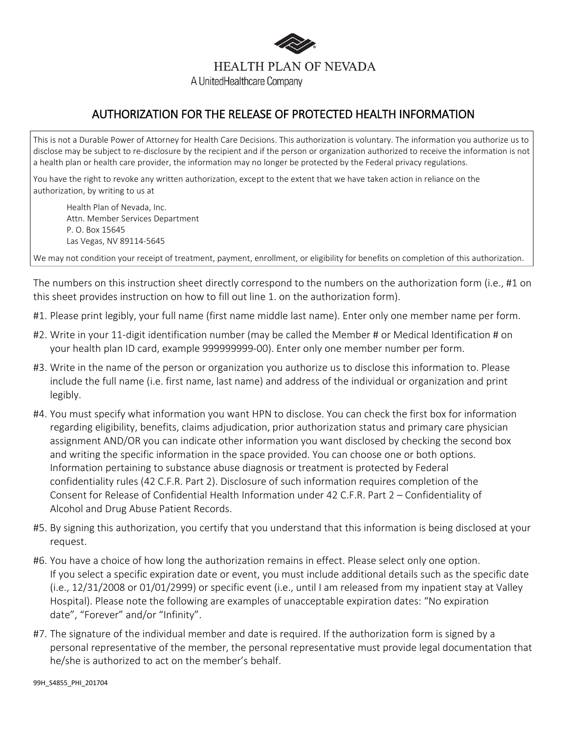

## AUTHORIZATION FOR THE RELEASE OF PROTECTED HEALTH INFORMATION

This is not a Durable Power of Attorney for Health Care Decisions. This authorization is voluntary. The information you authorize us to disclose may be subject to re-disclosure by the recipient and if the person or organization authorized to receive the information is not a health plan or health care provider, the information may no longer be protected by the Federal privacy regulations.

You have the right to revoke any written authorization, except to the extent that we have taken action in reliance on the authorization, by writing to us at

Health Plan of Nevada, Inc. Attn. Member Services Department P. O. Box 15645 Las Vegas, NV 89114-5645

We may not condition your receipt of treatment, payment, enrollment, or eligibility for benefits on completion of this authorization.

The numbers on this instruction sheet directly correspond to the numbers on the authorization form (i.e., #1 on this sheet provides instruction on how to fill out line 1. on the authorization form).

- #1. Please print legibly, your full name (first name middle last name). Enter only one member name per form.
- #2. Write in your 11-digit identification number (may be called the Member # or Medical Identification # on your health plan ID card, example 999999999-00). Enter only one member number per form.
- #3. Write in the name of the person or organization you authorize us to disclose this information to. Please include the full name (i.e. first name, last name) and address of the individual or organization and print legibly.
- #4. You must specify what information you want HPN to disclose. You can check the first box for information regarding eligibility, benefits, claims adjudication, prior authorization status and primary care physician assignment AND/OR you can indicate other information you want disclosed by checking the second box and writing the specific information in the space provided. You can choose one or both options. Information pertaining to substance abuse diagnosis or treatment is protected by Federal confidentiality rules (42 C.F.R. Part 2). Disclosure of such information requires completion of the Consent for Release of Confidential Health Information under 42 C.F.R. Part 2 – Confidentiality of Alcohol and Drug Abuse Patient Records.
- #5. By signing this authorization, you certify that you understand that this information is being disclosed at your request.
- #6. You have a choice of how long the authorization remains in effect. Please select only one option. If you select a specific expiration date or event, you must include additional details such as the specific date (i.e., 12/31/2008 or 01/01/2999) or specific event (i.e., until I am released from my inpatient stay at Valley Hospital). Please note the following are examples of unacceptable expiration dates: "No expiration date", "Forever" and/or "Infinity".
- #7. The signature of the individual member and date is required. If the authorization form is signed by a personal representative of the member, the personal representative must provide legal documentation that he/she is authorized to act on the member's behalf.